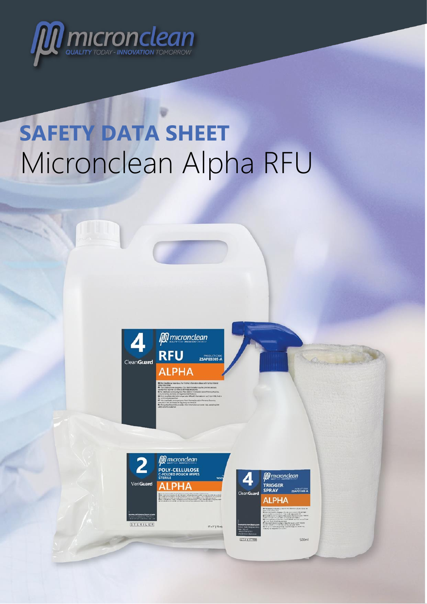

# **SAFETY DATA SHEET** Micronclean Alpha RFU

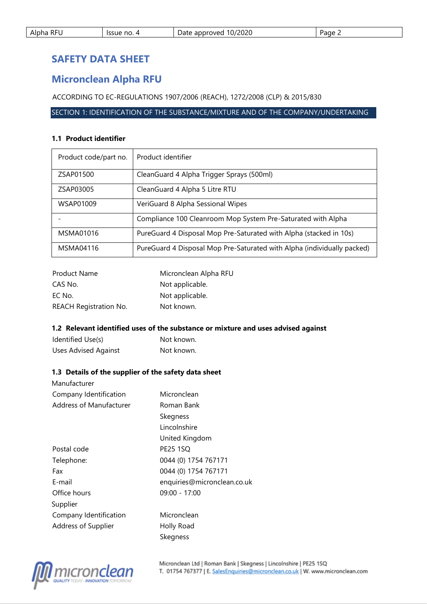| <b>RFU</b><br>Alpha | Issue no. | 10/2020<br>approved<br>Date | Page $\epsilon$ |
|---------------------|-----------|-----------------------------|-----------------|
|                     |           |                             |                 |

# **SAFETY DATA SHEET**

# **Micronclean Alpha RFU**

ACCORDING TO EC-REGULATIONS 1907/2006 (REACH), 1272/2008 (CLP) & 2015/830

SECTION 1: IDENTIFICATION OF THE SUBSTANCE/MIXTURE AND OF THE COMPANY/UNDERTAKING

# **1.1 Product identifier**

| Product code/part no. | Product identifier                                                      |
|-----------------------|-------------------------------------------------------------------------|
| ZSAP01500             | CleanGuard 4 Alpha Trigger Sprays (500ml)                               |
| ZSAP03005             | CleanGuard 4 Alpha 5 Litre RTU                                          |
| WSAP01009             | VeriGuard 8 Alpha Sessional Wipes                                       |
|                       | Compliance 100 Cleanroom Mop System Pre-Saturated with Alpha            |
| MSMA01016             | PureGuard 4 Disposal Mop Pre-Saturated with Alpha (stacked in 10s)      |
| MSMA04116             | PureGuard 4 Disposal Mop Pre-Saturated with Alpha (individually packed) |

| <b>Product Name</b>           | Micronclean Alpha RFU |
|-------------------------------|-----------------------|
| CAS No.                       | Not applicable.       |
| EC No.                        | Not applicable.       |
| <b>REACH Registration No.</b> | Not known.            |

#### **1.2 Relevant identified uses of the substance or mixture and uses advised against**

| Identified Use(s)           | Not known. |
|-----------------------------|------------|
| <b>Uses Advised Against</b> | Not known. |

# **1.3 Details of the supplier of the safety data sheet**

| Manufacturer            |                             |
|-------------------------|-----------------------------|
| Company Identification  | Micronclean                 |
| Address of Manufacturer | Roman Bank                  |
|                         | Skegness                    |
|                         | Lincolnshire                |
|                         | United Kingdom              |
| Postal code             | <b>PE25 1SQ</b>             |
| Telephone:              | 0044 (0) 1754 767171        |
| Fax                     | 0044 (0) 1754 767171        |
| E-mail                  | enquiries@micronclean.co.uk |
| Office hours            | 09:00 - 17:00               |
| Supplier                |                             |
| Company Identification  | Micronclean                 |
| Address of Supplier     | Holly Road                  |
|                         | Skegness                    |

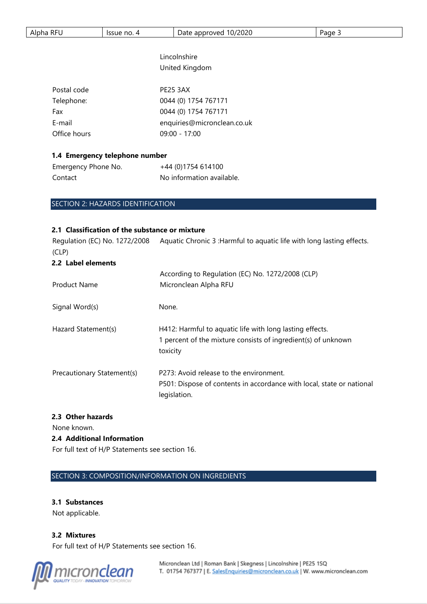| $\sim$ $-$<br>Alph<br>12 L<br>no.<br>$- - - -$<br>.ssue<br>NFL<br>лю | /2020<br>ovec<br>.<br>w.<br>$\overline{1}$ | $\cdots$<br>rage e<br>. . |
|----------------------------------------------------------------------|--------------------------------------------|---------------------------|
|----------------------------------------------------------------------|--------------------------------------------|---------------------------|

# Lincolnshire United Kingdom

| Postal code  | <b>PE25 3AX</b>             |
|--------------|-----------------------------|
| Telephone:   | 0044 (0) 1754 767171        |
| Fax          | 0044 (0) 1754 767171        |
| E-mail       | enquiries@micronclean.co.uk |
| Office hours | $09:00 - 17:00$             |

# **1.4 Emergency telephone number**

| Emergency Phone No. | +44 (0)1754 614100        |
|---------------------|---------------------------|
| Contact             | No information available. |

# SECTION 2: HAZARDS IDENTIFICATION

# **2.1 Classification of the substance or mixture**

Regulation (EC) No. 1272/2008 Aquatic Chronic 3 : Harmful to aquatic life with long lasting effects. (CLP) **2.2 Label elements** 

| <b>Product Name</b>        | According to Regulation (EC) No. 1272/2008 (CLP)<br>Micronclean Alpha RFU                                                             |
|----------------------------|---------------------------------------------------------------------------------------------------------------------------------------|
| Signal Word(s)             | None.                                                                                                                                 |
| Hazard Statement(s)        | H412: Harmful to aquatic life with long lasting effects.<br>1 percent of the mixture consists of ingredient(s) of unknown<br>toxicity |
| Precautionary Statement(s) | P273: Avoid release to the environment.<br>P501: Dispose of contents in accordance with local, state or national<br>legislation.      |

# **2.3 Other hazards**

None known.

# **2.4 Additional Information**

For full text of H/P Statements see section 16.

# SECTION 3: COMPOSITION/INFORMATION ON INGREDIENTS

# **3.1 Substances**

Not applicable.

**3.2 Mixtures**  For full text of H/P Statements see section 16.

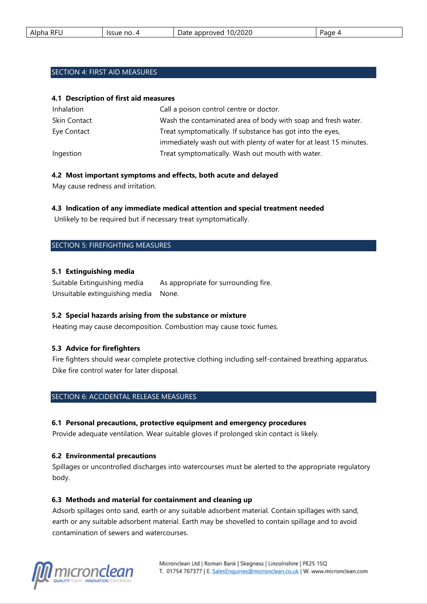| RF'<br>Alpha<br>╰ | Issue no.<br>$\Lambda$ | 10/2020<br>approved<br>Date | Page |
|-------------------|------------------------|-----------------------------|------|
|                   |                        |                             |      |

# SECTION 4: FIRST AID MEASURES

#### **4.1 Description of first aid measures**

| Inhalation   | Call a poison control centre or doctor.                            |
|--------------|--------------------------------------------------------------------|
| Skin Contact | Wash the contaminated area of body with soap and fresh water.      |
| Eye Contact  | Treat symptomatically. If substance has got into the eyes,         |
|              | immediately wash out with plenty of water for at least 15 minutes. |
| Ingestion    | Treat symptomatically. Wash out mouth with water.                  |

#### **4.2 Most important symptoms and effects, both acute and delayed**

May cause redness and irritation.

# **4.3 Indication of any immediate medical attention and special treatment needed**

Unlikely to be required but if necessary treat symptomatically.

#### SECTION 5: FIREFIGHTING MEASURES

#### **5.1 Extinguishing media**

| Suitable Extinguishing media         | As appropriate for surrounding fire. |
|--------------------------------------|--------------------------------------|
| Unsuitable extinguishing media None. |                                      |

# **5.2 Special hazards arising from the substance or mixture**

Heating may cause decomposition. Combustion may cause toxic fumes.

# **5.3 Advice for firefighters**

Fire fighters should wear complete protective clothing including self-contained breathing apparatus. Dike fire control water for later disposal.

#### SECTION 6: ACCIDENTAL RELEASE MEASURES

#### **6.1 Personal precautions, protective equipment and emergency procedures**

Provide adequate ventilation. Wear suitable gloves if prolonged skin contact is likely.

#### **6.2 Environmental precautions**

Spillages or uncontrolled discharges into watercourses must be alerted to the appropriate regulatory body.

#### **6.3 Methods and material for containment and cleaning up**

Adsorb spillages onto sand, earth or any suitable adsorbent material. Contain spillages with sand, earth or any suitable adsorbent material. Earth may be shovelled to contain spillage and to avoid contamination of sewers and watercourses.

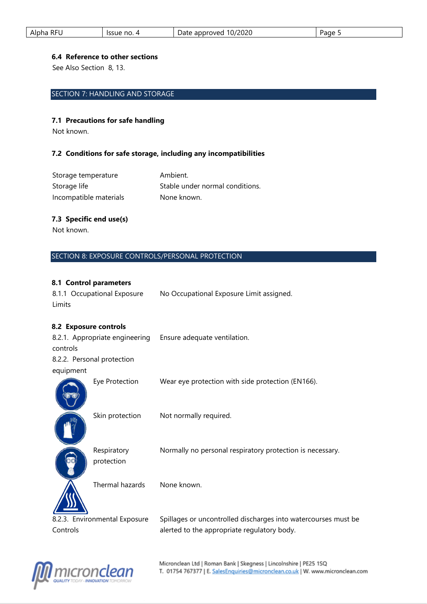| . RF!<br>Alpha<br>. . | Issue no. | 10/2020<br>approved<br>Date<br>_____ | Page |
|-----------------------|-----------|--------------------------------------|------|
|                       |           |                                      |      |

#### **6.4 Reference to other sections**

See Also Section 8, 13.

# SECTION 7: HANDLING AND STORAGE

#### **7.1 Precautions for safe handling**

Not known.

# **7.2 Conditions for safe storage, including any incompatibilities**

| Storage temperature    | Ambient.                        |
|------------------------|---------------------------------|
| Storage life           | Stable under normal conditions. |
| Incompatible materials | None known.                     |

# **7.3 Specific end use(s)**

Not known.

# SECTION 8: EXPOSURE CONTROLS/PERSONAL PROTECTION

# **8.1 Control parameters**

|        | 8.1.1 Occupational Exposure | No Occupational Exposure Limit assigned. |
|--------|-----------------------------|------------------------------------------|
| Limits |                             |                                          |

# **8.2 Exposure controls**

| controls  | 8.2.1. Appropriate engineering | Ensure adequate ventilation.                                   |
|-----------|--------------------------------|----------------------------------------------------------------|
|           | 8.2.2. Personal protection     |                                                                |
| equipment |                                |                                                                |
|           | Eye Protection                 | Wear eye protection with side protection (EN166).              |
|           | Skin protection                | Not normally required.                                         |
|           | Respiratory<br>protection      | Normally no personal respiratory protection is necessary.      |
|           | Thermal hazards                | None known.                                                    |
|           | 8.2.3. Environmental Exposure  | Spillages or uncontrolled discharges into watercourses must be |
| Controls  |                                | alerted to the appropriate regulatory body.                    |

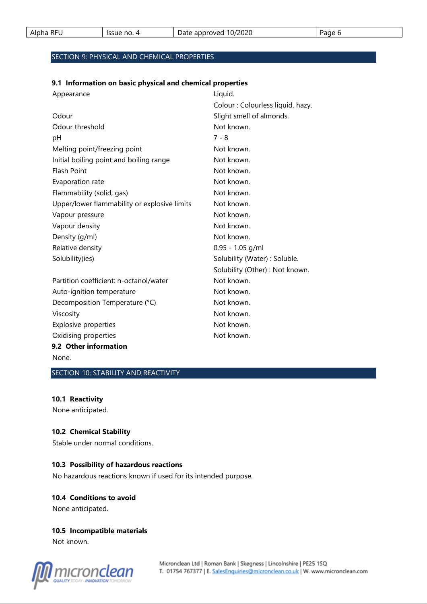| <b>RFU</b><br>Alpha<br>nг. | Issue no.<br>- - - | 10/2020<br>-<br>approved<br>Date<br>____ | Page |
|----------------------------|--------------------|------------------------------------------|------|
|----------------------------|--------------------|------------------------------------------|------|

# SECTION 9: PHYSICAL AND CHEMICAL PROPERTIES

#### **9.1 Information on basic physical and chemical properties**

| Appearance                                   | Liquid.                           |
|----------------------------------------------|-----------------------------------|
|                                              | Colour : Colourless liquid. hazy. |
| Odour                                        | Slight smell of almonds.          |
| Odour threshold                              | Not known.                        |
| pH                                           | $7 - 8$                           |
| Melting point/freezing point                 | Not known.                        |
| Initial boiling point and boiling range      | Not known.                        |
| <b>Flash Point</b>                           | Not known.                        |
| Evaporation rate                             | Not known.                        |
| Flammability (solid, gas)                    | Not known.                        |
| Upper/lower flammability or explosive limits | Not known.                        |
| Vapour pressure                              | Not known.                        |
| Vapour density                               | Not known.                        |
| Density (g/ml)                               | Not known.                        |
| Relative density                             | $0.95 - 1.05$ g/ml                |
| Solubility(ies)                              | Solubility (Water) : Soluble.     |
|                                              | Solubility (Other) : Not known.   |
| Partition coefficient: n-octanol/water       | Not known.                        |
| Auto-ignition temperature                    | Not known.                        |
| Decomposition Temperature (°C)               | Not known.                        |
| Viscosity                                    | Not known.                        |
| Explosive properties                         | Not known.                        |
| Oxidising properties                         | Not known.                        |
| 9.2 Other information                        |                                   |
|                                              |                                   |

None.

SECTION 10: STABILITY AND REACTIVITY

# **10.1 Reactivity**

None anticipated.

# **10.2 Chemical Stability**

Stable under normal conditions.

#### **10.3 Possibility of hazardous reactions**

No hazardous reactions known if used for its intended purpose.

#### **10.4 Conditions to avoid**

None anticipated.

#### **10.5 Incompatible materials**

Not known.

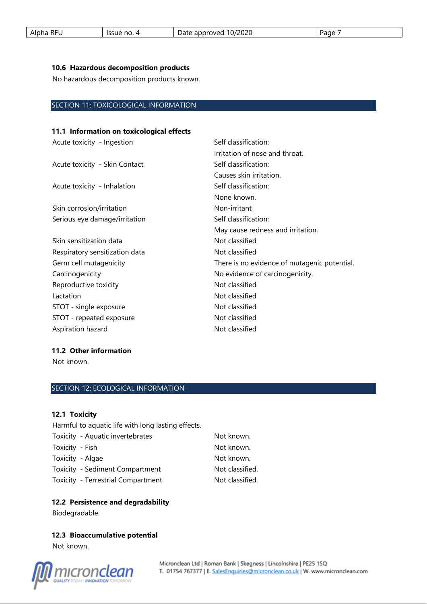| <b>RFU</b><br>Alpha | Issue no.<br>↵ | 10/2020<br>-<br>approved<br>Date | Page |
|---------------------|----------------|----------------------------------|------|
|                     |                |                                  |      |

#### **10.6 Hazardous decomposition products**

No hazardous decomposition products known.

# SECTION 11: TOXICOLOGICAL INFORMATION

# **11.1 Information on toxicological effects**

| Acute toxicity - Ingestion     | Self classification:                         |  |
|--------------------------------|----------------------------------------------|--|
|                                | Irritation of nose and throat.               |  |
| Acute toxicity - Skin Contact  | Self classification:                         |  |
|                                | Causes skin irritation.                      |  |
| Acute toxicity - Inhalation    | Self classification:                         |  |
|                                | None known.                                  |  |
| Skin corrosion/irritation      | Non-irritant                                 |  |
| Serious eye damage/irritation  | Self classification:                         |  |
|                                | May cause redness and irritation.            |  |
| Skin sensitization data        | Not classified                               |  |
| Respiratory sensitization data | Not classified                               |  |
| Germ cell mutagenicity         | There is no evidence of mutagenic potential. |  |
| Carcinogenicity                | No evidence of carcinogenicity.              |  |
| Reproductive toxicity          | Not classified                               |  |
| Lactation                      | Not classified                               |  |
| STOT - single exposure         | Not classified                               |  |
| STOT - repeated exposure       | Not classified                               |  |
| Aspiration hazard              | Not classified                               |  |
|                                |                                              |  |

#### **11.2 Other information**

Not known.

# SECTION 12: ECOLOGICAL INFORMATION

#### **12.1 Toxicity**

Harmful to aquatic life with long lasting effects.

| Toxicity - Aquatic invertebrates   | Not known.      |
|------------------------------------|-----------------|
| Toxicity - Fish                    | Not known.      |
| Toxicity - Algae                   | Not known.      |
| Toxicity - Sediment Compartment    | Not classified. |
| Toxicity - Terrestrial Compartment | Not classified. |

# **12.2 Persistence and degradability**

Biodegradable.

**12.3 Bioaccumulative potential**  Not known.

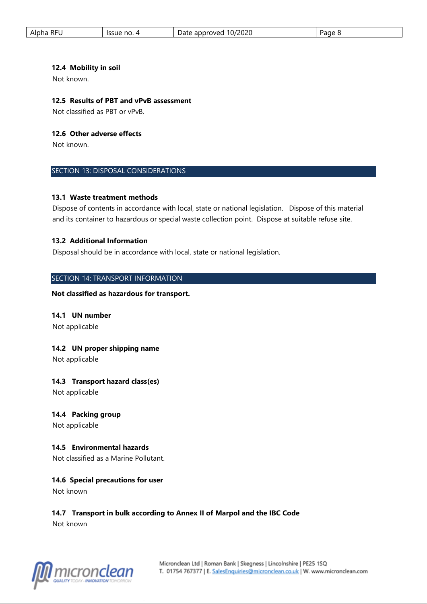| <b>RFU</b><br>Alpha | Issue no.<br>∸ | 10/2020<br>-<br>approved<br>Date | vage |
|---------------------|----------------|----------------------------------|------|
|                     |                |                                  |      |

#### **12.4 Mobility in soil**

Not known.

# **12.5 Results of PBT and vPvB assessment**

Not classified as PBT or vPvB.

#### **12.6 Other adverse effects**

Not known.

#### SECTION 13: DISPOSAL CONSIDERATIONS

#### **13.1 Waste treatment methods**

Dispose of contents in accordance with local, state or national legislation. Dispose of this material and its container to hazardous or special waste collection point. Dispose at suitable refuse site.

#### **13.2 Additional Information**

Disposal should be in accordance with local, state or national legislation.

#### SECTION 14: TRANSPORT INFORMATION

**Not classified as hazardous for transport.** 

#### **14.1 UN number**

Not applicable

# **14.2 UN proper shipping name**

Not applicable

#### **14.3 Transport hazard class(es)**

Not applicable

#### **14.4 Packing group**

Not applicable

# **14.5 Environmental hazards**

Not classified as a Marine Pollutant.

# **14.6 Special precautions for user**

Not known

# **14.7 Transport in bulk according to Annex II of Marpol and the IBC Code**

Not known

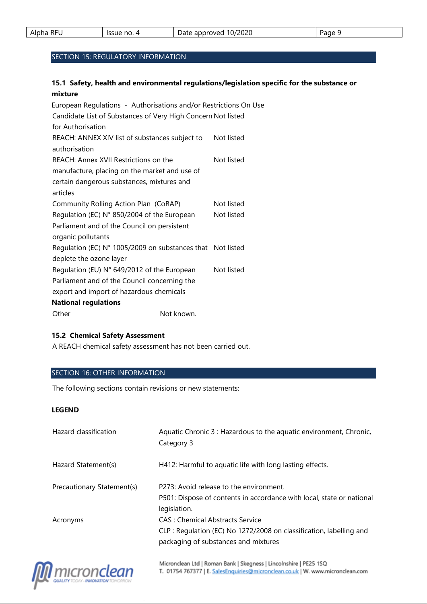| <b>RFU</b><br>Alpha | no.<br>Issue | 10/2020<br>-<br>approved<br>$\sim$<br>Dale<br>_____ | Page |
|---------------------|--------------|-----------------------------------------------------|------|
|---------------------|--------------|-----------------------------------------------------|------|

# SECTION 15: REGULATORY INFORMATION

# **15.1 Safety, health and environmental regulations/legislation specific for the substance or mixture**

| European Regulations - Authorisations and/or Restrictions On Use |            |            |
|------------------------------------------------------------------|------------|------------|
| Candidate List of Substances of Very High Concern Not listed     |            |            |
| for Authorisation                                                |            |            |
| REACH: ANNEX XIV list of substances subject to                   |            | Not listed |
| authorisation                                                    |            |            |
| REACH: Annex XVII Restrictions on the                            |            | Not listed |
| manufacture, placing on the market and use of                    |            |            |
| certain dangerous substances, mixtures and                       |            |            |
| articles                                                         |            |            |
| Community Rolling Action Plan (CoRAP)                            |            | Not listed |
| Regulation (EC) N° 850/2004 of the European                      |            | Not listed |
| Parliament and of the Council on persistent                      |            |            |
| organic pollutants                                               |            |            |
| Regulation (EC) N° 1005/2009 on substances that Not listed       |            |            |
| deplete the ozone layer                                          |            |            |
| Regulation (EU) N° 649/2012 of the European                      |            | Not listed |
| Parliament and of the Council concerning the                     |            |            |
| export and import of hazardous chemicals                         |            |            |
| <b>National regulations</b>                                      |            |            |
| Other                                                            | Not known. |            |

#### **15.2 Chemical Safety Assessment**

A REACH chemical safety assessment has not been carried out.

# SECTION 16: OTHER INFORMATION

The following sections contain revisions or new statements:

#### **LEGEND**

| Hazard classification      | Aquatic Chronic 3 : Hazardous to the aquatic environment, Chronic,<br>Category 3                                                                |
|----------------------------|-------------------------------------------------------------------------------------------------------------------------------------------------|
| Hazard Statement(s)        | H412: Harmful to aquatic life with long lasting effects.                                                                                        |
| Precautionary Statement(s) | P273: Avoid release to the environment.<br>P501: Dispose of contents in accordance with local, state or national<br>legislation.                |
| Acronyms                   | CAS : Chemical Abstracts Service<br>CLP : Regulation (EC) No 1272/2008 on classification, labelling and<br>packaging of substances and mixtures |